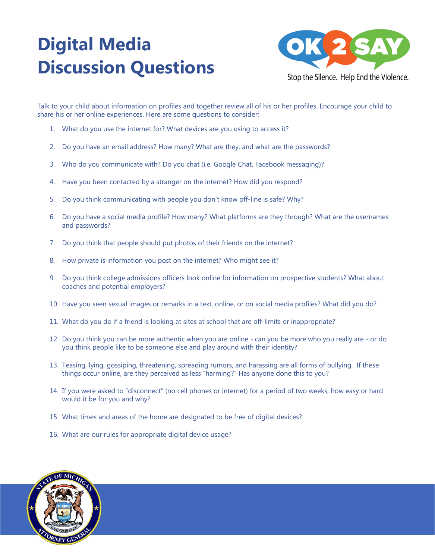## **Digital Media Discussion Questions**



Talk to your child about information on profiles and together review all of his or her profiles. Encourage your child to share his or her online experiences. Here are some questions to consider:

- 1. What do you use the internet for? What devices are you using to access it?
- 2. Do you have an email address? How many? What are they, and what are the passwords?
- 3. Who do you communicate with? Do you chat (i.e. Google Chat, Facebook messaging)?
- 4. Have you been contacted by a stranger on the internet? How did you respond?
- 5. Do you think communicating with people you don't know off-line is safe? Why?
- 6. Do you have a social media profile? How many? What platforms are they through? What are the usernames and passwords?
- 7. Do you think that people should put photos of their friends on the internet?
- 8. How private is information you post on the internet? Who might see it?
- 9. Do you think college admissions officers look online for information on prospective students? What about coaches and potential employers?
- 10. Have you seen sexual images or remarks in a text, online, or on social media profiles? What did you do?
- 11. What do you do if a friend is looking at sites at school that are off-limits or inappropriate?
- 12. Do you think you can be more authentic when you are online can you be more who you really are or do you think people like to be someone else and play around with their identity?
- 13. Teasing, lying, gossiping, threatening, spreading rumors, and harassing are all forms of bullying. If these things occur online, are they perceived as less "harming?" Has anyone done this to you?
- 14. If you were asked to "disconnect" (no cell phones or internet) for a period of two weeks, how easy or hard would it be for you and why?
- 15. What times and areas of the home are designated to be free of digital devices?
- 16. What are our rules for appropriate digital device usage?